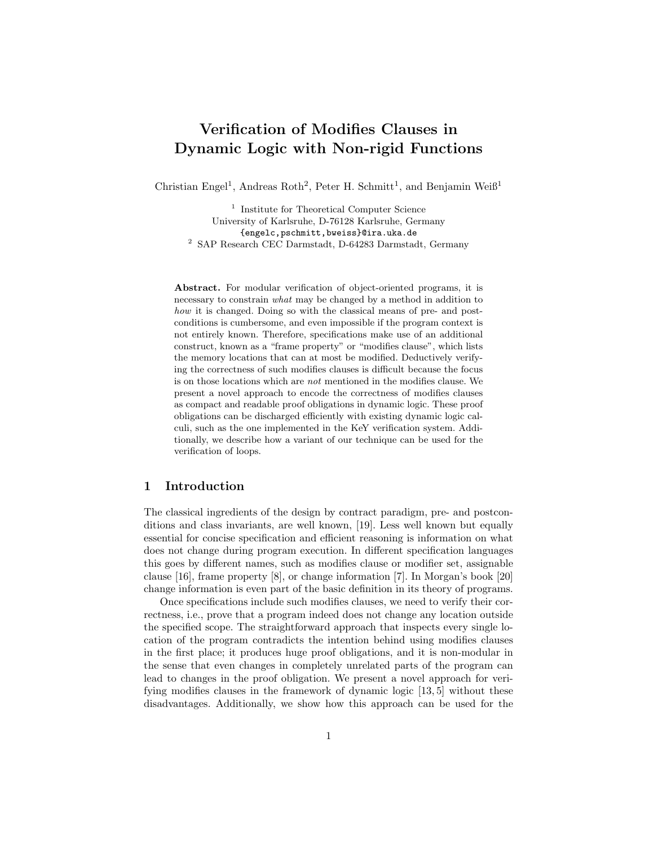# Verification of Modifies Clauses in Dynamic Logic with Non-rigid Functions

Christian Engel<sup>1</sup>, Andreas Roth<sup>2</sup>, Peter H. Schmitt<sup>1</sup>, and Benjamin Weiß<sup>1</sup>

<sup>1</sup> Institute for Theoretical Computer Science University of Karlsruhe, D-76128 Karlsruhe, Germany {engelc,pschmitt,bweiss}@ira.uka.de <sup>2</sup> SAP Research CEC Darmstadt, D-64283 Darmstadt, Germany

Abstract. For modular verification of object-oriented programs, it is necessary to constrain what may be changed by a method in addition to how it is changed. Doing so with the classical means of pre- and postconditions is cumbersome, and even impossible if the program context is not entirely known. Therefore, specifications make use of an additional construct, known as a "frame property" or "modifies clause", which lists the memory locations that can at most be modified. Deductively verifying the correctness of such modifies clauses is difficult because the focus is on those locations which are not mentioned in the modifies clause. We present a novel approach to encode the correctness of modifies clauses as compact and readable proof obligations in dynamic logic. These proof obligations can be discharged efficiently with existing dynamic logic calculi, such as the one implemented in the KeY verification system. Additionally, we describe how a variant of our technique can be used for the verification of loops.

# 1 Introduction

The classical ingredients of the design by contract paradigm, pre- and postconditions and class invariants, are well known, [19]. Less well known but equally essential for concise specification and efficient reasoning is information on what does not change during program execution. In different specification languages this goes by different names, such as modifies clause or modifier set, assignable clause [16], frame property [8], or change information [7]. In Morgan's book [20] change information is even part of the basic definition in its theory of programs.

Once specifications include such modifies clauses, we need to verify their correctness, i.e., prove that a program indeed does not change any location outside the specified scope. The straightforward approach that inspects every single location of the program contradicts the intention behind using modifies clauses in the first place; it produces huge proof obligations, and it is non-modular in the sense that even changes in completely unrelated parts of the program can lead to changes in the proof obligation. We present a novel approach for verifying modifies clauses in the framework of dynamic logic [13, 5] without these disadvantages. Additionally, we show how this approach can be used for the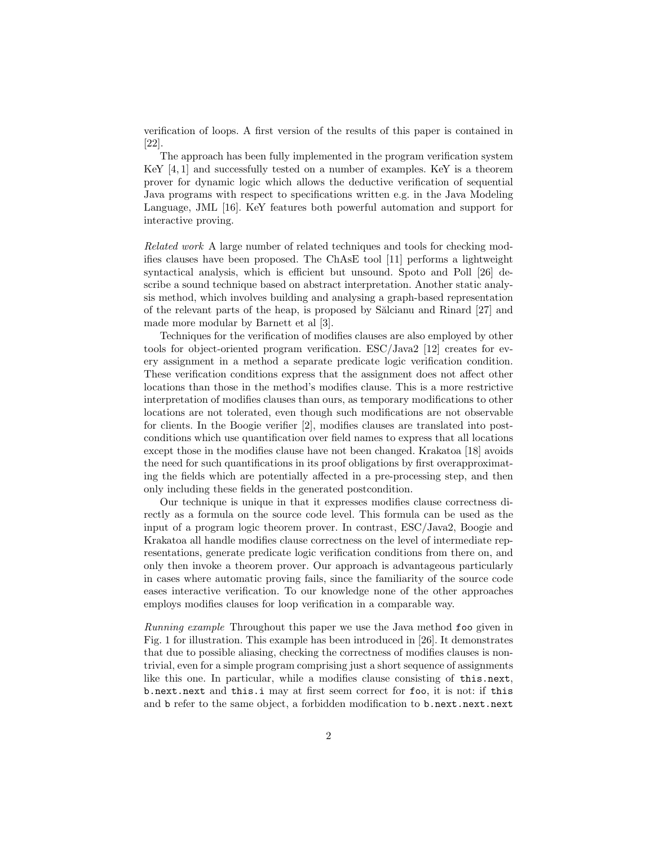verification of loops. A first version of the results of this paper is contained in [22].

The approach has been fully implemented in the program verification system KeY [4, 1] and successfully tested on a number of examples. KeY is a theorem prover for dynamic logic which allows the deductive verification of sequential Java programs with respect to specifications written e.g. in the Java Modeling Language, JML [16]. KeY features both powerful automation and support for interactive proving.

Related work A large number of related techniques and tools for checking modifies clauses have been proposed. The ChAsE tool [11] performs a lightweight syntactical analysis, which is efficient but unsound. Spoto and Poll [26] describe a sound technique based on abstract interpretation. Another static analysis method, which involves building and analysing a graph-based representation of the relevant parts of the heap, is proposed by S˘alcianu and Rinard [27] and made more modular by Barnett et al [3].

Techniques for the verification of modifies clauses are also employed by other tools for object-oriented program verification. ESC/Java2 [12] creates for every assignment in a method a separate predicate logic verification condition. These verification conditions express that the assignment does not affect other locations than those in the method's modifies clause. This is a more restrictive interpretation of modifies clauses than ours, as temporary modifications to other locations are not tolerated, even though such modifications are not observable for clients. In the Boogie verifier [2], modifies clauses are translated into postconditions which use quantification over field names to express that all locations except those in the modifies clause have not been changed. Krakatoa [18] avoids the need for such quantifications in its proof obligations by first overapproximating the fields which are potentially affected in a pre-processing step, and then only including these fields in the generated postcondition.

Our technique is unique in that it expresses modifies clause correctness directly as a formula on the source code level. This formula can be used as the input of a program logic theorem prover. In contrast, ESC/Java2, Boogie and Krakatoa all handle modifies clause correctness on the level of intermediate representations, generate predicate logic verification conditions from there on, and only then invoke a theorem prover. Our approach is advantageous particularly in cases where automatic proving fails, since the familiarity of the source code eases interactive verification. To our knowledge none of the other approaches employs modifies clauses for loop verification in a comparable way.

Running example Throughout this paper we use the Java method foo given in Fig. 1 for illustration. This example has been introduced in [26]. It demonstrates that due to possible aliasing, checking the correctness of modifies clauses is nontrivial, even for a simple program comprising just a short sequence of assignments like this one. In particular, while a modifies clause consisting of this.next, b.next.next and this.i may at first seem correct for foo, it is not: if this and b refer to the same object, a forbidden modification to b.next.next.next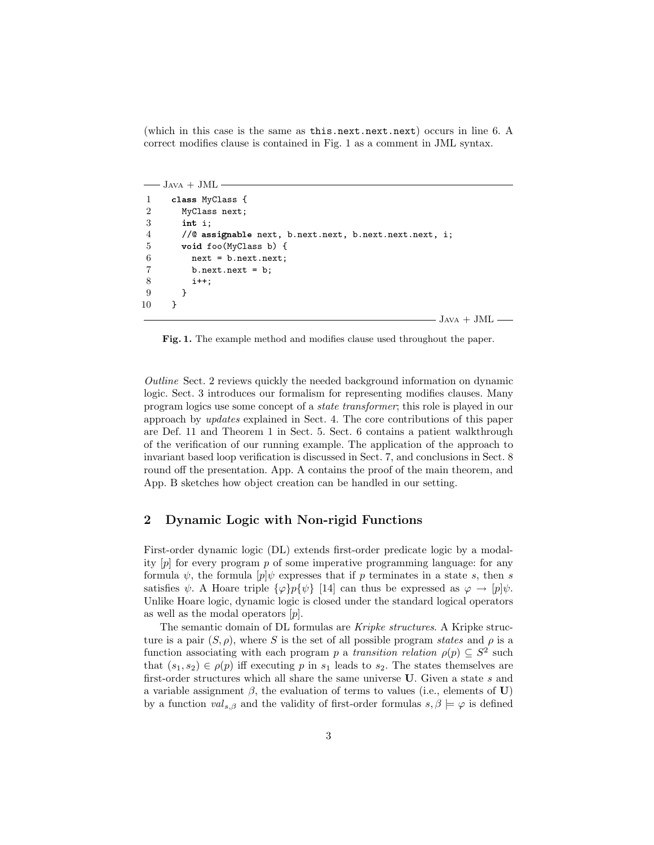(which in this case is the same as this.next.next.next) occurs in line 6. A correct modifies clause is contained in Fig. 1 as a comment in JML syntax.

```
- Java + JML \cdot1 class MyClass {
2 MyClass next;
3 int i;
4 //@ assignable next, b.next.next, b.next.next.next, i;
5 void foo(MyClass b) {
6 next = b.next.next;
7 b.next.next = b;
8 i++;
9 }
10 }
```
 $-J<sub>AVA</sub> + JML$  —

Fig. 1. The example method and modifies clause used throughout the paper.

Outline Sect. 2 reviews quickly the needed background information on dynamic logic. Sect. 3 introduces our formalism for representing modifies clauses. Many program logics use some concept of a state transformer; this role is played in our approach by updates explained in Sect. 4. The core contributions of this paper are Def. 11 and Theorem 1 in Sect. 5. Sect. 6 contains a patient walkthrough of the verification of our running example. The application of the approach to invariant based loop verification is discussed in Sect. 7, and conclusions in Sect. 8 round off the presentation. App. A contains the proof of the main theorem, and App. B sketches how object creation can be handled in our setting.

#### 2 Dynamic Logic with Non-rigid Functions

First-order dynamic logic (DL) extends first-order predicate logic by a modality  $[p]$  for every program p of some imperative programming language: for any formula  $\psi$ , the formula  $[p]\psi$  expresses that if p terminates in a state s, then s satisfies  $\psi$ . A Hoare triple  $\{\varphi\}p\{\psi\}$  [14] can thus be expressed as  $\varphi \to [p]\psi$ . Unlike Hoare logic, dynamic logic is closed under the standard logical operators as well as the modal operators  $[p]$ .

The semantic domain of DL formulas are Kripke structures. A Kripke structure is a pair  $(S, \rho)$ , where S is the set of all possible program states and  $\rho$  is a function associating with each program p a transition relation  $\rho(p) \subseteq S^2$  such that  $(s_1, s_2) \in \rho(p)$  iff executing p in  $s_1$  leads to  $s_2$ . The states themselves are first-order structures which all share the same universe U. Given a state s and a variable assignment  $\beta$ , the evaluation of terms to values (i.e., elements of U) by a function  $val_{s,\beta}$  and the validity of first-order formulas  $s, \beta \models \varphi$  is defined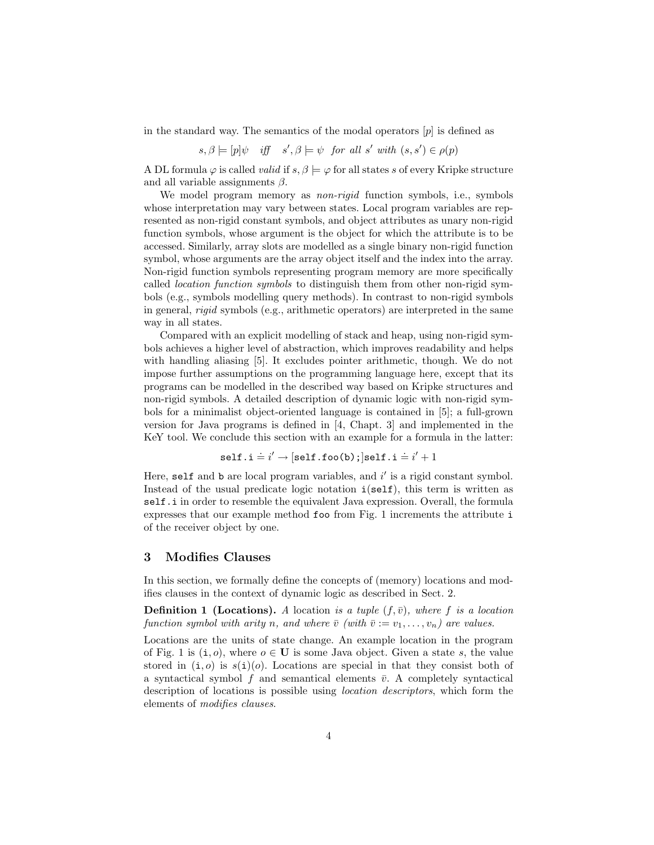in the standard way. The semantics of the modal operators  $[p]$  is defined as

$$
s, \beta \models [p]\psi
$$
 iff  $s', \beta \models \psi$  for all s' with  $(s, s') \in \rho(p)$ 

A DL formula  $\varphi$  is called *valid* if  $s, \beta \models \varphi$  for all states s of every Kripke structure and all variable assignments  $\beta$ .

We model program memory as *non-rigid* function symbols, i.e., symbols whose interpretation may vary between states. Local program variables are represented as non-rigid constant symbols, and object attributes as unary non-rigid function symbols, whose argument is the object for which the attribute is to be accessed. Similarly, array slots are modelled as a single binary non-rigid function symbol, whose arguments are the array object itself and the index into the array. Non-rigid function symbols representing program memory are more specifically called location function symbols to distinguish them from other non-rigid symbols (e.g., symbols modelling query methods). In contrast to non-rigid symbols in general, rigid symbols (e.g., arithmetic operators) are interpreted in the same way in all states.

Compared with an explicit modelling of stack and heap, using non-rigid symbols achieves a higher level of abstraction, which improves readability and helps with handling aliasing [5]. It excludes pointer arithmetic, though. We do not impose further assumptions on the programming language here, except that its programs can be modelled in the described way based on Kripke structures and non-rigid symbols. A detailed description of dynamic logic with non-rigid symbols for a minimalist object-oriented language is contained in [5]; a full-grown version for Java programs is defined in [4, Chapt. 3] and implemented in the KeY tool. We conclude this section with an example for a formula in the latter:

self.i = 
$$
i' \rightarrow [self.foo(b)];
$$
self.i =  $i' + 1$ 

Here, self and  $b$  are local program variables, and  $i'$  is a rigid constant symbol. Instead of the usual predicate logic notation i(self), this term is written as self.i in order to resemble the equivalent Java expression. Overall, the formula expresses that our example method foo from Fig. 1 increments the attribute i of the receiver object by one.

## 3 Modifies Clauses

In this section, we formally define the concepts of (memory) locations and modifies clauses in the context of dynamic logic as described in Sect. 2.

**Definition 1 (Locations).** A location is a tuple  $(f, \bar{v})$ , where f is a location function symbol with arity n, and where  $\overline{v}$  (with  $\overline{v} := v_1, \ldots, v_n$ ) are values.

Locations are the units of state change. An example location in the program of Fig. 1 is  $(i, o)$ , where  $o \in U$  is some Java object. Given a state s, the value stored in  $(i, o)$  is  $s(i)(o)$ . Locations are special in that they consist both of a syntactical symbol f and semantical elements  $\bar{v}$ . A completely syntactical description of locations is possible using location descriptors, which form the elements of modifies clauses.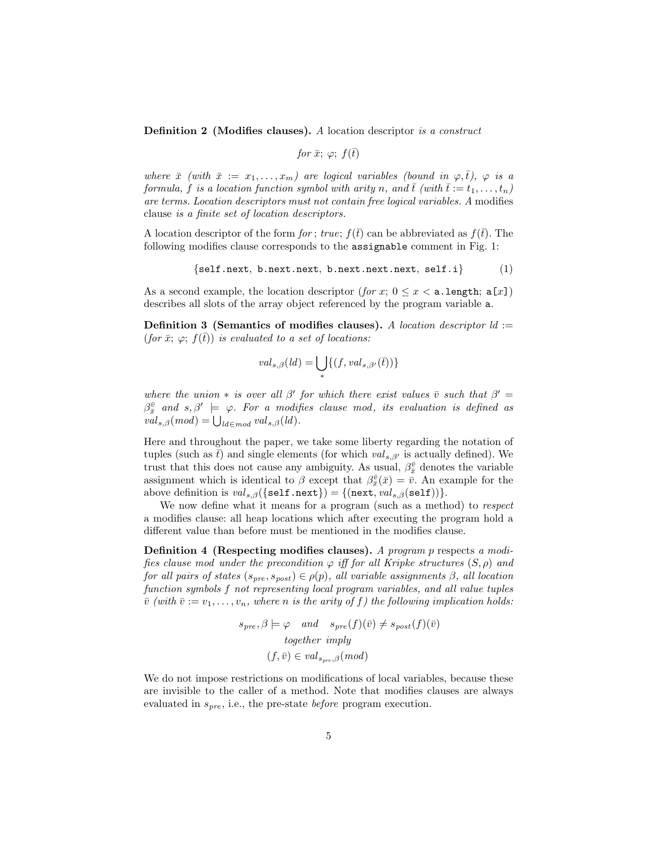Definition 2 (Modifies clauses). A location descriptor is a construct

for 
$$
\bar{x}
$$
;  $\varphi$ ;  $f(\bar{t})$ 

where  $\bar{x}$  (with  $\bar{x} := x_1, \ldots, x_m$ ) are logical variables (bound in  $\varphi, \bar{t}$ ),  $\varphi$  is a formula, f is a location function symbol with arity n, and  $\overline{t}$  (with  $\overline{t}:=t_1,\ldots,t_n$ ) are terms. Location descriptors must not contain free logical variables. A modifies clause is a finite set of location descriptors.

A location descriptor of the form for; true;  $f(\bar{t})$  can be abbreviated as  $f(\bar{t})$ . The following modifies clause corresponds to the assignable comment in Fig. 1:

$$
{\tt \{self.next, b.next.next, b.next.next.next, self.i\}} \qquad \qquad (1)
$$

As a second example, the location descriptor (for x;  $0 \leq x < a$ . length;  $a[x]$ ) describes all slots of the array object referenced by the program variable a.

**Definition 3 (Semantics of modifies clauses).** A location descriptor  $ld :=$ (for  $\bar{x}$ ;  $\varphi$ ;  $f(\bar{t})$ ) is evaluated to a set of locations:

$$
val_{s,\beta}(ld) = \bigcup_{\ast} \{ (f, val_{s,\beta'}(\bar{t})) \}
$$

where the union  $*$  is over all  $\beta'$  for which there exist values  $\bar{v}$  such that  $\beta' =$  $\beta^{\bar{v}}_{\bar{x}}$  and  $s, \beta' \models \varphi$ . For a modifies clause mod, its evaluation is defined as  $val_{s,\beta}(mod) = \bigcup_{ld \in mod} val_{s,\beta}(ld).$ 

Here and throughout the paper, we take some liberty regarding the notation of tuples (such as  $\bar{t}$ ) and single elements (for which  $val_{s,\beta'}$  is actually defined). We trust that this does not cause any ambiguity. As usual,  $\beta_{\bar{x}}^{\bar{v}}$  denotes the variable assignment which is identical to  $\beta$  except that  $\beta_{\bar{x}}^{\bar{v}}(\bar{x}) = \bar{v}$ . An example for the above definition is  $val_{s,\beta}(\{\texttt{self.next}\}) = \{(\texttt{next}, val_{s,\beta}(\texttt{self}))\}.$ 

We now define what it means for a program (such as a method) to respect a modifies clause: all heap locations which after executing the program hold a different value than before must be mentioned in the modifies clause.

Definition 4 (Respecting modifies clauses). A program p respects a modifies clause mod under the precondition  $\varphi$  iff for all Kripke structures  $(S, \rho)$  and for all pairs of states  $(s_{pre}, s_{post}) \in \rho(p)$ , all variable assignments  $\beta$ , all location function symbols f not representing local program variables, and all value tuples  $\overline{v}$  (with  $\overline{v} := v_1, \ldots, v_n$ , where n is the arity of f) the following implication holds:

$$
s_{pre}, \beta \models \varphi \quad and \quad s_{pre}(f)(\bar{v}) \neq s_{post}(f)(\bar{v})
$$

$$
together \; imply
$$

$$
(f, \bar{v}) \in val_{s_{pre}, \beta}(mod)
$$

We do not impose restrictions on modifications of local variables, because these are invisible to the caller of a method. Note that modifies clauses are always evaluated in  $s_{pre}$ , i.e., the pre-state *before* program execution.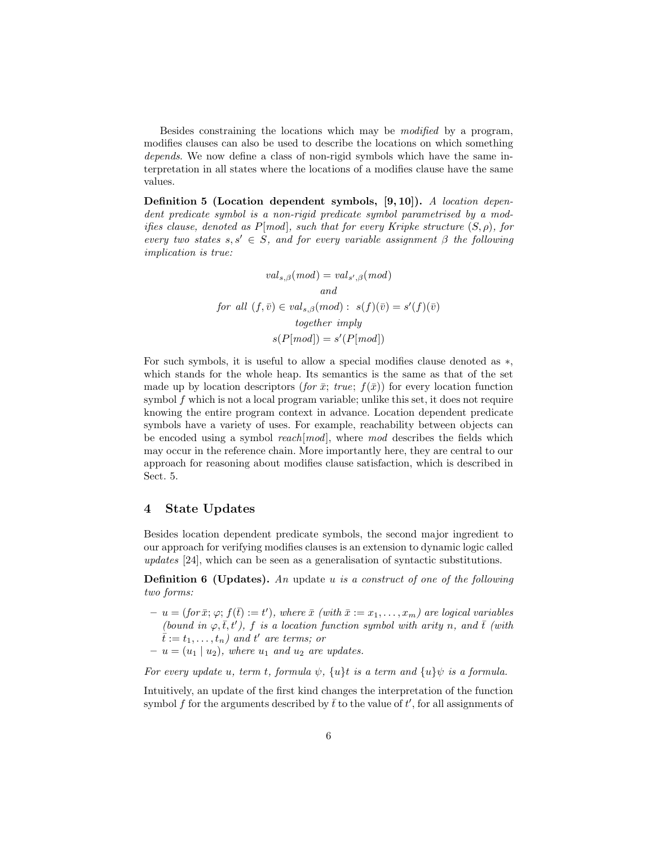Besides constraining the locations which may be modified by a program, modifies clauses can also be used to describe the locations on which something depends. We now define a class of non-rigid symbols which have the same interpretation in all states where the locations of a modifies clause have the same values.

Definition 5 (Location dependent symbols, [9, 10]). A location dependent predicate symbol is a non-rigid predicate symbol parametrised by a modifies clause, denoted as  $P[mod]$ , such that for every Kripke structure  $(S, \rho)$ , for every two states  $s, s' \in S$ , and for every variable assignment  $\beta$  the following implication is true:

> $val_{s,\beta}(mod) = val_{s',\beta}(mod)$ and for all  $(f, \bar{v}) \in val_{s,\beta}(mod)$ :  $s(f)(\bar{v}) = s'(f)(\bar{v})$ together imply  $s(P[mod]) = s'(P[mod])$

For such symbols, it is useful to allow a special modifies clause denoted as ∗, which stands for the whole heap. Its semantics is the same as that of the set made up by location descriptors (for  $\bar{x}$ ; true;  $f(\bar{x})$ ) for every location function symbol  $f$  which is not a local program variable; unlike this set, it does not require knowing the entire program context in advance. Location dependent predicate symbols have a variety of uses. For example, reachability between objects can be encoded using a symbol reach  $\lfloor mod \rfloor$ , where mod describes the fields which may occur in the reference chain. More importantly here, they are central to our approach for reasoning about modifies clause satisfaction, which is described in Sect. 5.

## 4 State Updates

Besides location dependent predicate symbols, the second major ingredient to our approach for verifying modifies clauses is an extension to dynamic logic called updates [24], which can be seen as a generalisation of syntactic substitutions.

**Definition 6 (Updates).** An update u is a construct of one of the following two forms:

- $-u = (for \bar{x}; \varphi; f(\bar{t}) := t')$ , where  $\bar{x}$  (with  $\bar{x} := x_1, \ldots, x_m$ ) are logical variables (bound in  $\varphi, \bar{t}, t'$ ), f is a location function symbol with arity n, and  $\bar{t}$  (with  $\overline{t}:=t_1,\ldots,t_n)$  and  $t'$  are terms; or
- $u = (u_1 \mid u_2)$ , where  $u_1$  and  $u_2$  are updates.

For every update u, term t, formula  $\psi$ ,  $\{u\}$ t is a term and  $\{u\}\psi$  is a formula.

Intuitively, an update of the first kind changes the interpretation of the function symbol f for the arguments described by  $\bar{t}$  to the value of  $t'$ , for all assignments of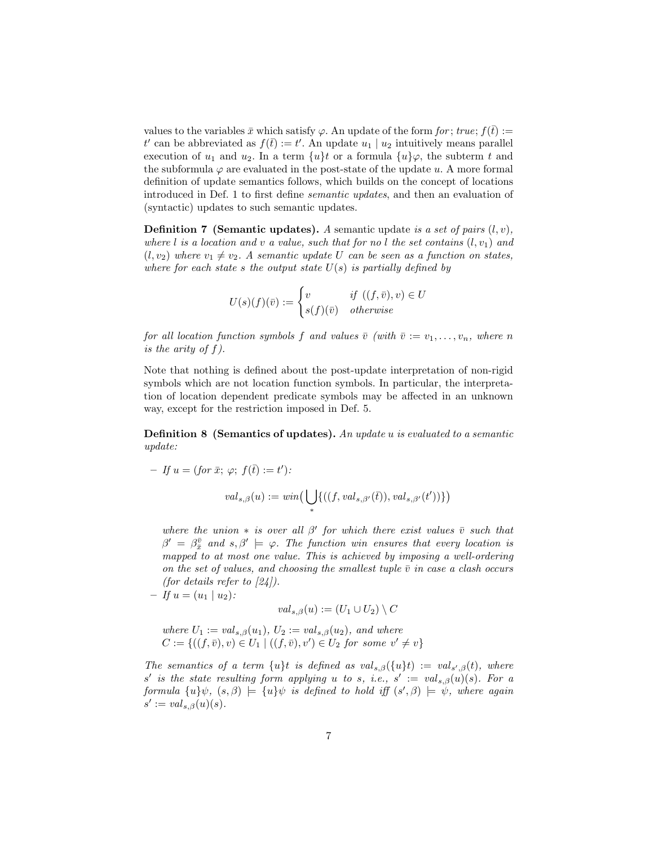values to the variables  $\bar{x}$  which satisfy  $\varphi$ . An update of the form for; true;  $f(\bar{t}) :=$ t' can be abbreviated as  $f(\bar{t}) := t'$ . An update  $u_1 | u_2$  intuitively means parallel execution of  $u_1$  and  $u_2$ . In a term  $\{u\}$ t or a formula  $\{u\}\varphi$ , the subterm t and the subformula  $\varphi$  are evaluated in the post-state of the update u. A more formal definition of update semantics follows, which builds on the concept of locations introduced in Def. 1 to first define semantic updates, and then an evaluation of (syntactic) updates to such semantic updates.

**Definition 7 (Semantic updates).** A semantic update is a set of pairs  $(l, v)$ , where l is a location and v a value, such that for no l the set contains  $(l, v_1)$  and  $(l, v_2)$  where  $v_1 \neq v_2$ . A semantic update U can be seen as a function on states, where for each state s the output state  $U(s)$  is partially defined by

$$
U(s)(f)(\bar{v}) := \begin{cases} v & \text{if } ((f, \bar{v}), v) \in U \\ s(f)(\bar{v}) & otherwise \end{cases}
$$

for all location function symbols f and values  $\overline{v}$  (with  $\overline{v} := v_1, \ldots, v_n$ , where n is the arity of f).

Note that nothing is defined about the post-update interpretation of non-rigid symbols which are not location function symbols. In particular, the interpretation of location dependent predicate symbols may be affected in an unknown way, except for the restriction imposed in Def. 5.

**Definition 8 (Semantics of updates).** An update u is evaluated to a semantic update:

$$
- If u = (for \ \bar{x}; \ \varphi; \ f(\bar{t}) := t'):
$$

$$
val_{s,\beta}(u) := win\left(\bigcup_{\ast} \{((f, val_{s,\beta'}(\bar{t})), val_{s,\beta'}(t'))\}\right)
$$

where the union  $*$  is over all  $\beta'$  for which there exist values  $\bar{v}$  such that  $\beta' = \beta_{\bar{x}}^{\bar{v}}$  and  $s, \beta' \models \varphi$ . The function win ensures that every location is mapped to at most one value. This is achieved by imposing a well-ordering on the set of values, and choosing the smallest tuple  $\bar{v}$  in case a clash occurs (for details refer to  $[24]$ ).

– If  $u = (u_1 \mid u_2)$ :

$$
val_{s,\beta}(u) := (U_1 \cup U_2) \setminus C
$$

where  $U_1 := val_{s,\beta}(u_1), U_2 := val_{s,\beta}(u_2),$  and where  $C := \{((f, \bar{v}), v) \in U_1 \mid ((f, \bar{v}), v') \in U_2 \text{ for some } v' \neq v\}$ 

The semantics of a term  $\{u\}$ t is defined as val<sub>s, $\beta$ </sub> $(\{u\}$ t) := val<sub>s', $\beta$ </sub>(t), where s' is the state resulting form applying u to s, i.e.,  $s' := val_{s,\beta}(u)(s)$ . For a formula  $\{u\}\psi$ ,  $(s, \beta) \models \{u\}\psi$  is defined to hold iff  $(s', \beta) \models \psi$ , where again  $s' := val_{s,\beta}(u)(s).$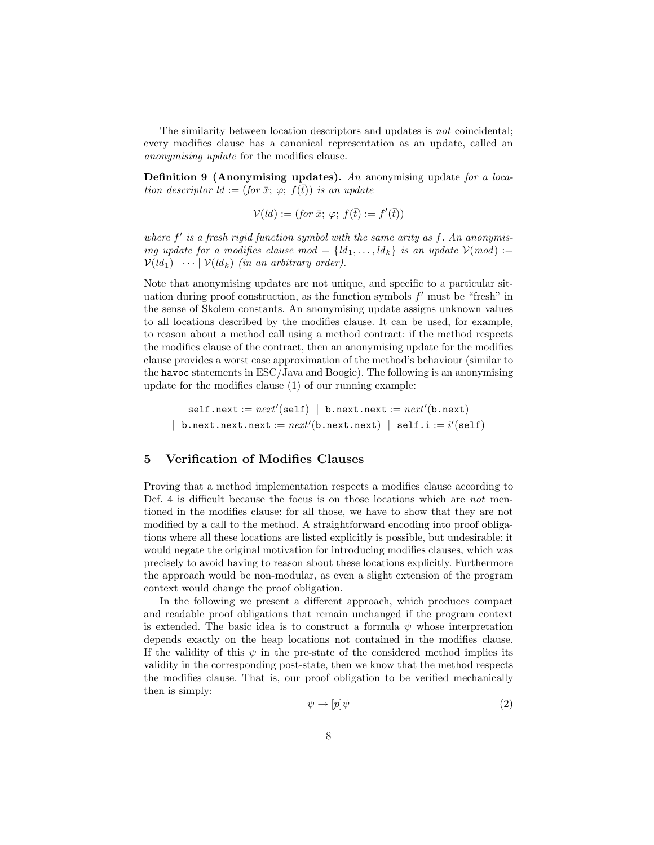The similarity between location descriptors and updates is not coincidental; every modifies clause has a canonical representation as an update, called an anonymising update for the modifies clause.

Definition 9 (Anonymising updates). An anonymising update for a location descriptor  $ld := (for \bar{x}; \varphi; f(\bar{t}))$  is an update

$$
\mathcal{V}(ld) := (\text{for } \bar{x}; \, \varphi; \, f(\bar{t}) := f'(\bar{t}))
$$

where  $f'$  is a fresh rigid function symbol with the same arity as  $f$ . An anonymising update for a modifies clause mod =  $\{ld_1, \ldots, ld_k\}$  is an update  $\mathcal{V}(mod)$  :=  $V(d_1) \mid \cdots \mid V(d_k)$  (in an arbitrary order).

Note that anonymising updates are not unique, and specific to a particular situation during proof construction, as the function symbols  $f'$  must be "fresh" in the sense of Skolem constants. An anonymising update assigns unknown values to all locations described by the modifies clause. It can be used, for example, to reason about a method call using a method contract: if the method respects the modifies clause of the contract, then an anonymising update for the modifies clause provides a worst case approximation of the method's behaviour (similar to the havoc statements in ESC/Java and Boogie). The following is an anonymising update for the modifies clause (1) of our running example:

 $\texttt{self.next} := \textit{next}'(\texttt{self}) ~|~ \texttt{b.next.next} := \textit{next}'(\texttt{b.next})$ | b.next.next.next :=  $next'(b.next.next)$  | self.i :=  $i'(self)$ 

#### 5 Verification of Modifies Clauses

Proving that a method implementation respects a modifies clause according to Def. 4 is difficult because the focus is on those locations which are not mentioned in the modifies clause: for all those, we have to show that they are not modified by a call to the method. A straightforward encoding into proof obligations where all these locations are listed explicitly is possible, but undesirable: it would negate the original motivation for introducing modifies clauses, which was precisely to avoid having to reason about these locations explicitly. Furthermore the approach would be non-modular, as even a slight extension of the program context would change the proof obligation.

In the following we present a different approach, which produces compact and readable proof obligations that remain unchanged if the program context is extended. The basic idea is to construct a formula  $\psi$  whose interpretation depends exactly on the heap locations not contained in the modifies clause. If the validity of this  $\psi$  in the pre-state of the considered method implies its validity in the corresponding post-state, then we know that the method respects the modifies clause. That is, our proof obligation to be verified mechanically then is simply:

$$
\psi \to [p]\psi \tag{2}
$$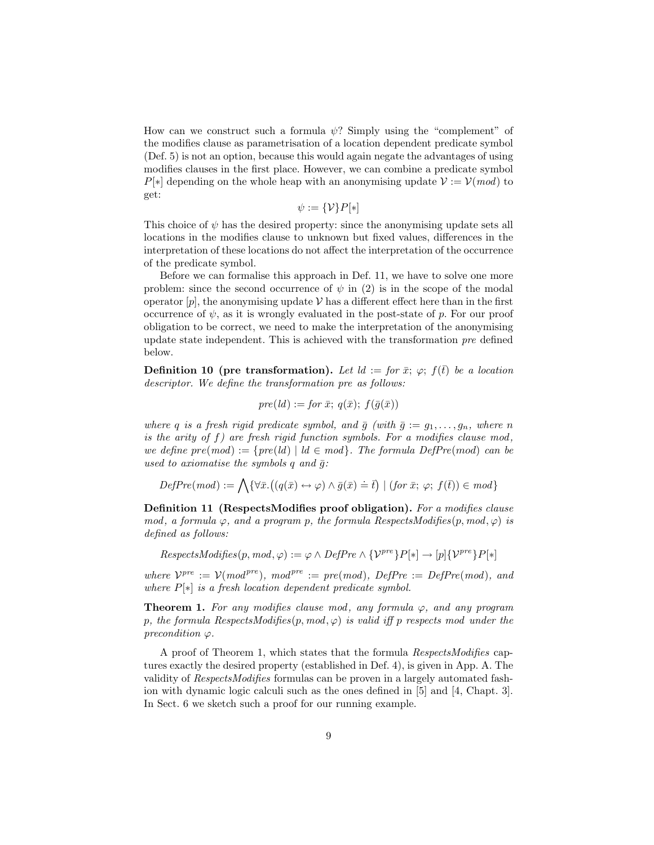How can we construct such a formula  $\psi$ ? Simply using the "complement" of the modifies clause as parametrisation of a location dependent predicate symbol (Def. 5) is not an option, because this would again negate the advantages of using modifies clauses in the first place. However, we can combine a predicate symbol  $P[*]$  depending on the whole heap with an anonymising update  $V := V(mod)$  to get:

$$
\psi := \{\mathcal{V}\}P[*]
$$

This choice of  $\psi$  has the desired property: since the anonymising update sets all locations in the modifies clause to unknown but fixed values, differences in the interpretation of these locations do not affect the interpretation of the occurrence of the predicate symbol.

Before we can formalise this approach in Def. 11, we have to solve one more problem: since the second occurrence of  $\psi$  in (2) is in the scope of the modal operator  $[p]$ , the anonymising update  $\mathcal V$  has a different effect here than in the first occurrence of  $\psi$ , as it is wrongly evaluated in the post-state of p. For our proof obligation to be correct, we need to make the interpretation of the anonymising update state independent. This is achieved with the transformation pre defined below.

**Definition 10 (pre transformation).** Let  $ld :=$  for  $\bar{x}$ ;  $\varphi$ ;  $f(\bar{t})$  be a location descriptor. We define the transformation pre as follows:

$$
pre(Id) := \text{for } \bar{x}; \ q(\bar{x}); \ f(\bar{g}(\bar{x}))
$$

where q is a fresh rigid predicate symbol, and  $\bar{g}$  (with  $\bar{g} := g_1, \ldots, g_n$ , where n is the arity of  $f$ ) are fresh rigid function symbols. For a modifies clause mod, we define  $pre(mod) := \{pre(id) \mid ld \in mod\}$ . The formula  $DefPre(mod)$  can be used to axiomatise the symbols  $q$  and  $\bar{q}$ :

$$
DefPre(mod) := \bigwedge \{ \forall \bar{x}. \big((q(\bar{x}) \leftrightarrow \varphi) \land \bar{g}(\bar{x}) \doteq \bar{t} \big) \mid (for \ \bar{x}; \ \varphi; \ f(\bar{t})) \in mod \}
$$

Definition 11 (RespectsModifies proof obligation). For a modifies clause mod, a formula  $\varphi$ , and a program p, the formula RespectsModifies(p, mod,  $\varphi$ ) is defined as follows:

 $RespectsModifies(p, mod, \varphi) := \varphi \wedge DefPre \wedge \{ \mathcal{V}^{pre} \} P[*] \rightarrow [p] \{ \mathcal{V}^{pre} \} P[*]$ 

where  $\mathcal{V}^{pre} := \mathcal{V}(mod^{pre})$ ,  $mod^{pre} := pre(mod)$ ,  $DefPre := DefPre(mod)$ , and where  $P[*]$  is a fresh location dependent predicate symbol.

**Theorem 1.** For any modifies clause mod, any formula  $\varphi$ , and any program p, the formula RespectsModifies $(p, mod, \varphi)$  is valid iff p respects mod under the precondition  $\varphi$ .

A proof of Theorem 1, which states that the formula RespectsModifies captures exactly the desired property (established in Def. 4), is given in App. A. The validity of RespectsModifies formulas can be proven in a largely automated fashion with dynamic logic calculi such as the ones defined in [5] and [4, Chapt. 3]. In Sect. 6 we sketch such a proof for our running example.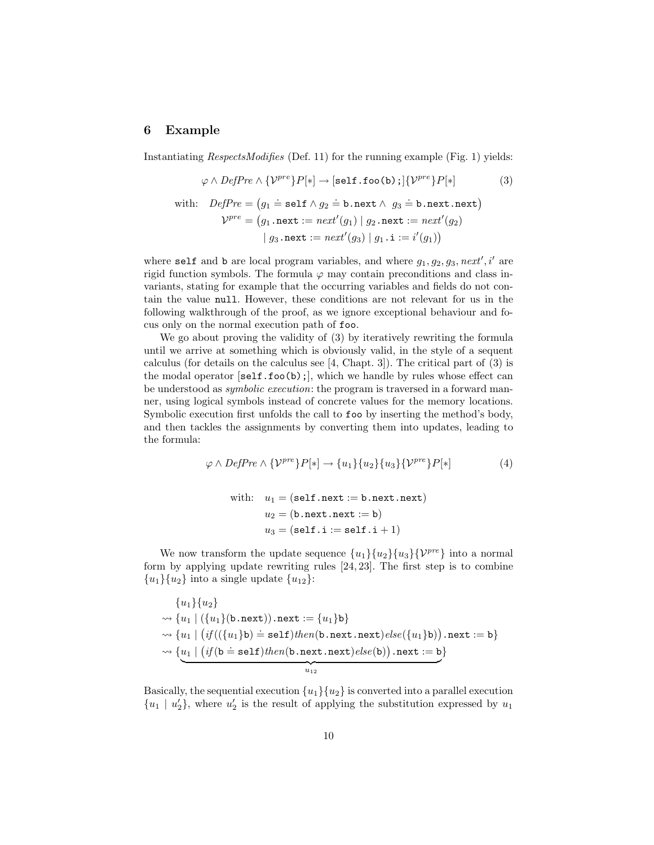#### 6 Example

Instantiating RespectsModifies (Def. 11) for the running example (Fig. 1) yields:

$$
\varphi \land DefPre \land \{ \mathcal{V}^{pre} \} P[*] \rightarrow [self.foo(b) ; ] \{ \mathcal{V}^{pre} \} P[*]
$$
 (3)

$$
\begin{array}{rl} \text{with:} & DefPre = \big(g_1 \doteq \texttt{self} \land g_2 \doteq \texttt{b.next} \land g_3 \doteq \texttt{b.next.next}\big) \\ & \mathcal{V}^{pre} = \big(g_1.\texttt{next} := next'(g_1) \mid g_2.\texttt{next} := next'(g_2) \\ & \mid g_3.\texttt{next} := next'(g_3) \mid g_1.\texttt{i} := i'(g_1)\big) \end{array}
$$

where self and b are local program variables, and where  $g_1, g_2, g_3, next', i'$  are rigid function symbols. The formula  $\varphi$  may contain preconditions and class invariants, stating for example that the occurring variables and fields do not contain the value null. However, these conditions are not relevant for us in the following walkthrough of the proof, as we ignore exceptional behaviour and focus only on the normal execution path of foo.

We go about proving the validity of (3) by iteratively rewriting the formula until we arrive at something which is obviously valid, in the style of a sequent calculus (for details on the calculus see [4, Chapt. 3]). The critical part of (3) is the modal operator  $\lceil \text{self.foo(b)} \rceil$ , which we handle by rules whose effect can be understood as symbolic execution: the program is traversed in a forward manner, using logical symbols instead of concrete values for the memory locations. Symbolic execution first unfolds the call to foo by inserting the method's body, and then tackles the assignments by converting them into updates, leading to the formula:

$$
\varphi \wedge DefPre \wedge \{\mathcal{V}^{pre}\} P[*] \rightarrow \{u_1\}\{u_2\}\{u_3\}\{\mathcal{V}^{pre}\} P[*]
$$
(4)

with: 
$$
u_1 = (self.next := b.next.next)
$$
  
\n $u_2 = (b.next.next := b)$   
\n $u_3 = (self.i := self.i + 1)$ 

We now transform the update sequence  ${u_1}{u_2}{u_3}{v^{pre}}$  into a normal form by applying update rewriting rules [24, 23]. The first step is to combine  ${u_1}{u_2}$  into a single update  ${u_{12}}$ :

$$
{u_1}{u_2}
$$
  
\n
$$
\rightsquigarrow {u_1 | ({u_1}(b.next)).next)} .next := {u_1}b}
$$
  
\n
$$
\rightsquigarrow {u_1 | (if(({u_1}b) \doteq self)then(b.next.next)else({u_1}b)).next := b}
$$
  
\n
$$
\rightsquigarrow {u_1 | (if(b = self)then(b.next.next)else(b)).next := b}
$$

Basically, the sequential execution  ${u_1}{u_2}$  is converted into a parallel execution  $\{u_1 \mid u_2'\}$ , where  $u_2'$  is the result of applying the substitution expressed by  $u_1$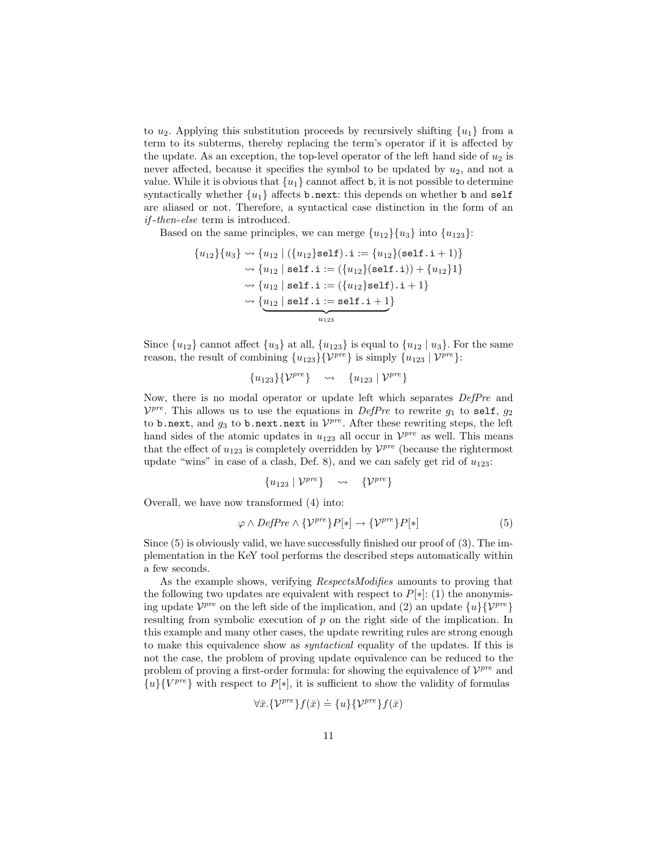to  $u_2$ . Applying this substitution proceeds by recursively shifting  $\{u_1\}$  from a term to its subterms, thereby replacing the term's operator if it is affected by the update. As an exception, the top-level operator of the left hand side of  $u_2$  is never affected, because it specifies the symbol to be updated by  $u_2$ , and not a value. While it is obvious that  ${u_1}$  cannot affect b, it is not possible to determine syntactically whether  $\{u_1\}$  affects **b**.next: this depends on whether **b** and **self** are aliased or not. Therefore, a syntactical case distinction in the form of an if -then-else term is introduced.

Based on the same principles, we can merge  $\{u_{12}\}\{u_3\}$  into  $\{u_{123}\}$ :

$$
{u_{12}}{u_3} \rightsquigarrow {u_{12}} | ({u_{12}}setf).i := {u_{12}}(self.i+1))
$$
  

$$
\rightsquigarrow {u_{12}} | self.i := ({u_{12}}(self.i)) + {u_{12}}1)
$$
  

$$
\rightsquigarrow {u_{12}} | self.i := ({u_{12}}setf).i + 1
$$
  

$$
\rightsquigarrow {u_{12}} | self.i := self.i+1
$$
  

$$
\underbrace{u_{12}} | self.i := self.i+1
$$

Since  ${u_{12}}$  cannot affect  ${u_3}$  at all,  ${u_{123}}$  is equal to  ${u_{12} | u_3}$ . For the same reason, the result of combining  $\{u_{123}\}\{\mathcal{V}^{pre}\}\$ is simply  $\{u_{123} | \mathcal{V}^{pre}\}$ :

$$
{u_{123}}\{\mathcal{V}^{pre}\} \rightsquigarrow {u_{123}}|\mathcal{V}^{pre}
$$

Now, there is no modal operator or update left which separates  $DefPre$  and  $V^{pre}$ . This allows us to use the equations in DefPre to rewrite  $g_1$  to self,  $g_2$ to b.next, and  $g_3$  to b.next.next in  $\mathcal{V}^{pre}$ . After these rewriting steps, the left hand sides of the atomic updates in  $u_{123}$  all occur in  $\mathcal{V}^{pre}$  as well. This means that the effect of  $u_{123}$  is completely overridden by  $\mathcal{V}^{pre}$  (because the rightermost update "wins" in case of a clash, Def. 8), and we can safely get rid of  $u_{123}$ :

$$
\{u_{123} \mid \mathcal{V}^{pre}\} \quad \leadsto \quad \{\mathcal{V}^{pre}\}
$$

Overall, we have now transformed (4) into:

$$
\varphi \wedge DefPre \wedge \{ \mathcal{V}^{pre} \} P[*] \rightarrow \{ \mathcal{V}^{pre} \} P[*] \tag{5}
$$

Since  $(5)$  is obviously valid, we have successfully finished our proof of  $(3)$ . The implementation in the KeY tool performs the described steps automatically within a few seconds.

As the example shows, verifying RespectsModifies amounts to proving that the following two updates are equivalent with respect to  $P[*]$ : (1) the anonymising update  $V^{pre}$  on the left side of the implication, and (2) an update  $\{u\}\{V^{pre}\}$ resulting from symbolic execution of p on the right side of the implication. In this example and many other cases, the update rewriting rules are strong enough to make this equivalence show as syntactical equality of the updates. If this is not the case, the problem of proving update equivalence can be reduced to the problem of proving a first-order formula: for showing the equivalence of  $\mathcal{V}^{pre}$  and  ${u}{V^{pre}}$  with respect to  $P[*]$ , it is sufficient to show the validity of formulas

$$
\forall \bar{x}. \{\mathcal{V}^{pre}\} f(\bar{x}) \doteq \{u\} \{\mathcal{V}^{pre}\} f(\bar{x})
$$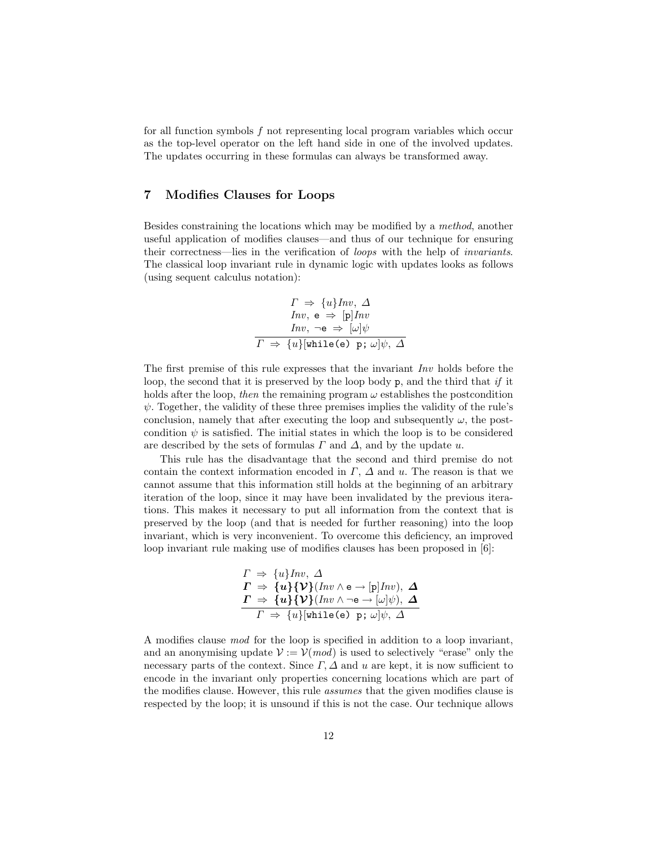for all function symbols  $f$  not representing local program variables which occur as the top-level operator on the left hand side in one of the involved updates. The updates occurring in these formulas can always be transformed away.

# 7 Modifies Clauses for Loops

Besides constraining the locations which may be modified by a method, another useful application of modifies clauses—and thus of our technique for ensuring their correctness—lies in the verification of loops with the help of invariants. The classical loop invariant rule in dynamic logic with updates looks as follows (using sequent calculus notation):

$$
\Gamma \Rightarrow \{u\} \mathit{Inv}, \ \Delta
$$
\n
$$
\mathit{Inv}, \ e \Rightarrow \ [\mathbf{p}] \mathit{Inv}
$$
\n
$$
\mathit{Inv}, \neg \mathbf{e} \Rightarrow \ [\omega] \psi
$$
\n
$$
\Gamma \Rightarrow \{u\} [\text{while}(\mathbf{e}) \ \mathbf{p}; \ \omega] \psi, \ \Delta
$$

The first premise of this rule expresses that the invariant Inv holds before the loop, the second that it is preserved by the loop body  $p$ , and the third that if it holds after the loop, then the remaining program  $\omega$  establishes the postcondition  $\psi$ . Together, the validity of these three premises implies the validity of the rule's conclusion, namely that after executing the loop and subsequently  $\omega$ , the postcondition  $\psi$  is satisfied. The initial states in which the loop is to be considered are described by the sets of formulas  $\Gamma$  and  $\Delta$ , and by the update u.

This rule has the disadvantage that the second and third premise do not contain the context information encoded in  $\Gamma$ ,  $\Delta$  and u. The reason is that we cannot assume that this information still holds at the beginning of an arbitrary iteration of the loop, since it may have been invalidated by the previous iterations. This makes it necessary to put all information from the context that is preserved by the loop (and that is needed for further reasoning) into the loop invariant, which is very inconvenient. To overcome this deficiency, an improved loop invariant rule making use of modifies clauses has been proposed in  $[6]$ :

$$
\Gamma \Rightarrow \{u\} \text{Inv}, \ \Delta
$$
\n
$$
\Gamma \Rightarrow \{u\} \{V\} (\text{Inv} \land e \rightarrow [p] \text{Inv}), \ \Delta
$$
\n
$$
\Gamma \Rightarrow \{u\} \{V\} (\text{Inv} \land \neg e \rightarrow [\omega] \psi), \ \Delta
$$
\n
$$
\Gamma \Rightarrow \{u\} [\text{while (e) p}; \ \omega] \psi, \ \Delta
$$

A modifies clause mod for the loop is specified in addition to a loop invariant, and an anonymising update  $\mathcal{V} := \mathcal{V}(mod)$  is used to selectively "erase" only the necessary parts of the context. Since  $\Gamma$ ,  $\Delta$  and u are kept, it is now sufficient to encode in the invariant only properties concerning locations which are part of the modifies clause. However, this rule assumes that the given modifies clause is respected by the loop; it is unsound if this is not the case. Our technique allows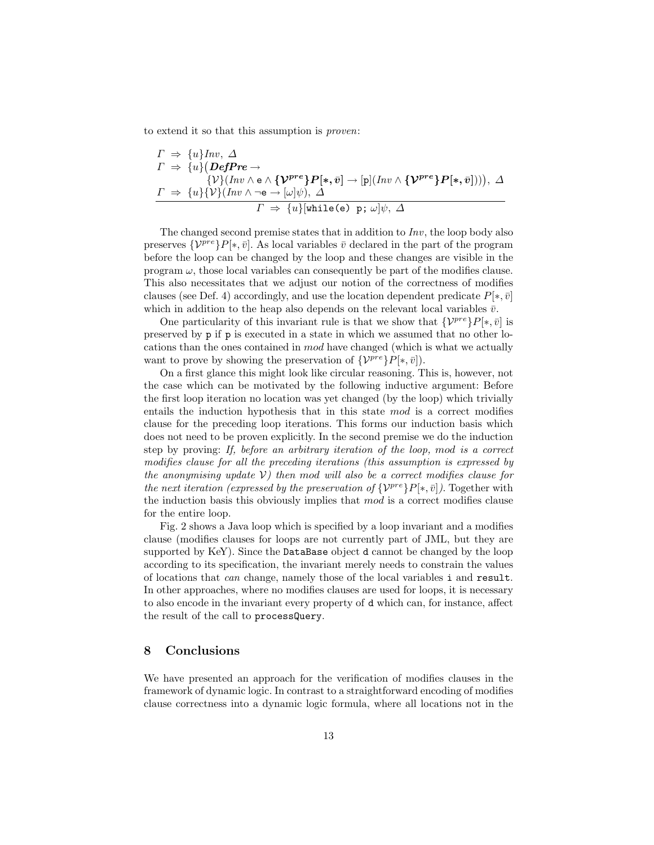to extend it so that this assumption is proven:

$$
\Gamma \Rightarrow \{u\} \text{Inv}, \Delta
$$
\n
$$
\Gamma \Rightarrow \{u\} \text{ (DefPre} \rightarrow \{V\} \text{ (Inv } \wedge \{V^{pre}\} P[\ast, \bar{v}] \rightarrow [p] \text{ (Inv } \wedge \{V^{pre}\} P[\ast, \bar{v}])\text{)), } \Delta
$$
\n
$$
\frac{\Gamma \Rightarrow \{u\} \{V\} \text{ (Inv } \wedge \neg e \rightarrow [\omega]\psi), \Delta}{\Gamma \Rightarrow \{u\} \text{ [while (e) p; } \omega]\psi, \Delta}
$$

The changed second premise states that in addition to  $Inv$ , the loop body also preserves  $\{V^{pre}\}\$ r<sup>\*</sup>,  $\bar{v}$ . As local variables  $\bar{v}$  declared in the part of the program before the loop can be changed by the loop and these changes are visible in the program  $\omega$ , those local variables can consequently be part of the modifies clause. This also necessitates that we adjust our notion of the correctness of modifies clauses (see Def. 4) accordingly, and use the location dependent predicate  $P[*, \bar{v}]$ which in addition to the heap also depends on the relevant local variables  $\bar{v}$ .

One particularity of this invariant rule is that we show that  $\{V^{pre}\}\,P[*,\bar{v}]$  is preserved by p if p is executed in a state in which we assumed that no other locations than the ones contained in mod have changed (which is what we actually want to prove by showing the preservation of  $\{\mathcal{V}^{pre}\}P[*,\bar{v}]).$ 

On a first glance this might look like circular reasoning. This is, however, not the case which can be motivated by the following inductive argument: Before the first loop iteration no location was yet changed (by the loop) which trivially entails the induction hypothesis that in this state mod is a correct modifies clause for the preceding loop iterations. This forms our induction basis which does not need to be proven explicitly. In the second premise we do the induction step by proving: If, before an arbitrary iteration of the loop, mod is a correct modifies clause for all the preceding iterations (this assumption is expressed by the anonymising update  $V$ ) then mod will also be a correct modifies clause for the next iteration (expressed by the preservation of  $\{V^{pre}\}P[*,\bar{v}]$ ). Together with the induction basis this obviously implies that mod is a correct modifies clause for the entire loop.

Fig. 2 shows a Java loop which is specified by a loop invariant and a modifies clause (modifies clauses for loops are not currently part of JML, but they are supported by KeY). Since the DataBase object d cannot be changed by the loop according to its specification, the invariant merely needs to constrain the values of locations that can change, namely those of the local variables i and result. In other approaches, where no modifies clauses are used for loops, it is necessary to also encode in the invariant every property of d which can, for instance, affect the result of the call to processQuery.

## 8 Conclusions

We have presented an approach for the verification of modifies clauses in the framework of dynamic logic. In contrast to a straightforward encoding of modifies clause correctness into a dynamic logic formula, where all locations not in the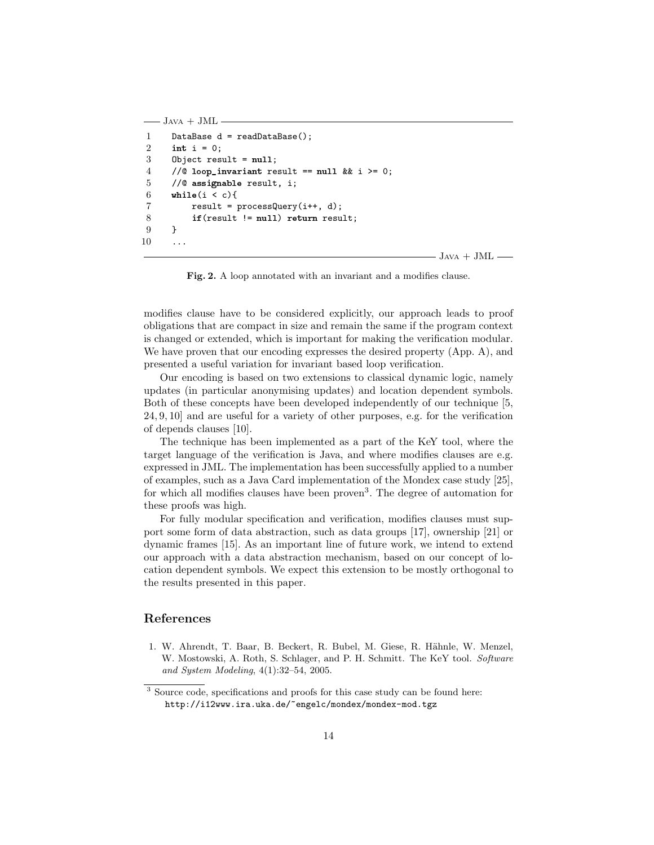```
J_{AVA} + JML1 DataBase d = readDataBase();
2 int i = 0;
3 Object result = null;
4 //© loop_invariant result == null && i >= 0;
5 //@ assignable result, i;
6 while(i < c){
7 result = \text{processQuery}(i++, d);8 if(result != null) return result;
9 }
10 ...
```
 $J_{AVA} + JML$  —

Fig. 2. A loop annotated with an invariant and a modifies clause.

modifies clause have to be considered explicitly, our approach leads to proof obligations that are compact in size and remain the same if the program context is changed or extended, which is important for making the verification modular. We have proven that our encoding expresses the desired property (App. A), and presented a useful variation for invariant based loop verification.

Our encoding is based on two extensions to classical dynamic logic, namely updates (in particular anonymising updates) and location dependent symbols. Both of these concepts have been developed independently of our technique [5, 24, 9, 10] and are useful for a variety of other purposes, e.g. for the verification of depends clauses [10].

The technique has been implemented as a part of the KeY tool, where the target language of the verification is Java, and where modifies clauses are e.g. expressed in JML. The implementation has been successfully applied to a number of examples, such as a Java Card implementation of the Mondex case study [25], for which all modifies clauses have been proven<sup>3</sup>. The degree of automation for these proofs was high.

For fully modular specification and verification, modifies clauses must support some form of data abstraction, such as data groups [17], ownership [21] or dynamic frames [15]. As an important line of future work, we intend to extend our approach with a data abstraction mechanism, based on our concept of location dependent symbols. We expect this extension to be mostly orthogonal to the results presented in this paper.

# References

1. W. Ahrendt, T. Baar, B. Beckert, R. Bubel, M. Giese, R. Hähnle, W. Menzel, W. Mostowski, A. Roth, S. Schlager, and P. H. Schmitt. The KeY tool. Software and System Modeling, 4(1):32–54, 2005.

<sup>3</sup> Source code, specifications and proofs for this case study can be found here: http://i12www.ira.uka.de/~engelc/mondex/mondex-mod.tgz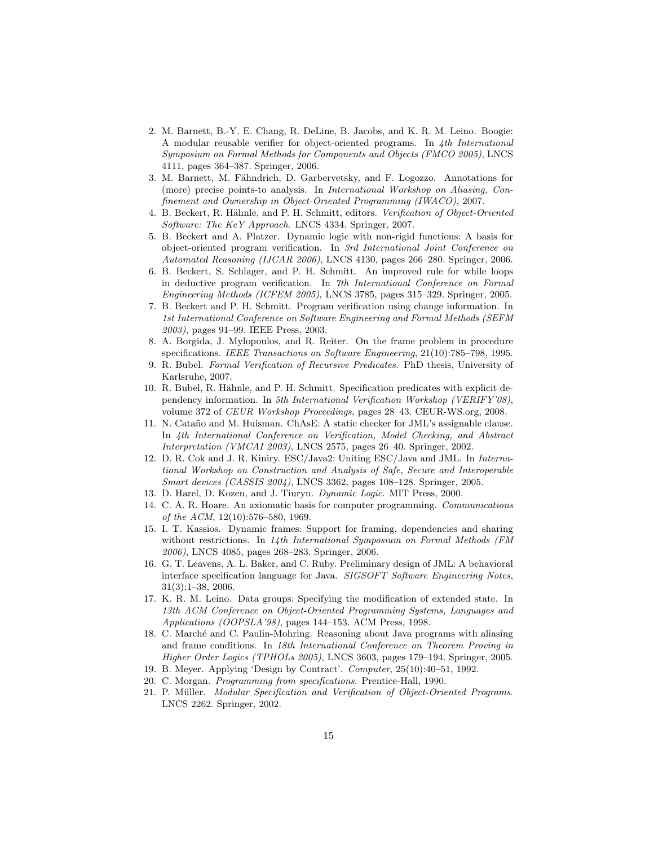- 2. M. Barnett, B.-Y. E. Chang, R. DeLine, B. Jacobs, and K. R. M. Leino. Boogie: A modular reusable verifier for object-oriented programs. In 4th International Symposium on Formal Methods for Components and Objects (FMCO 2005), LNCS 4111, pages 364–387. Springer, 2006.
- 3. M. Barnett, M. Fähndrich, D. Garbervetsky, and F. Logozzo. Annotations for (more) precise points-to analysis. In International Workshop on Aliasing, Confinement and Ownership in Object-Oriented Programming (IWACO), 2007.
- 4. B. Beckert, R. Hähnle, and P. H. Schmitt, editors. Verification of Object-Oriented Software: The KeY Approach. LNCS 4334. Springer, 2007.
- 5. B. Beckert and A. Platzer. Dynamic logic with non-rigid functions: A basis for object-oriented program verification. In 3rd International Joint Conference on Automated Reasoning (IJCAR 2006), LNCS 4130, pages 266–280. Springer, 2006.
- 6. B. Beckert, S. Schlager, and P. H. Schmitt. An improved rule for while loops in deductive program verification. In 7th International Conference on Formal Engineering Methods (ICFEM 2005), LNCS 3785, pages 315–329. Springer, 2005.
- 7. B. Beckert and P. H. Schmitt. Program verification using change information. In 1st International Conference on Software Engineering and Formal Methods (SEFM 2003), pages 91–99. IEEE Press, 2003.
- 8. A. Borgida, J. Mylopoulos, and R. Reiter. On the frame problem in procedure specifications. IEEE Transactions on Software Engineering, 21(10):785–798, 1995.
- 9. R. Bubel. Formal Verification of Recursive Predicates. PhD thesis, University of Karlsruhe, 2007.
- 10. R. Bubel, R. Hähnle, and P. H. Schmitt. Specification predicates with explicit dependency information. In 5th International Verification Workshop (VERIFY'08), volume 372 of CEUR Workshop Proceedings, pages 28–43. CEUR-WS.org, 2008.
- 11. N. Cataño and M. Huisman. ChAsE: A static checker for JML's assignable clause. In 4th International Conference on Verification, Model Checking, and Abstract Interpretation (VMCAI 2003), LNCS 2575, pages 26–40. Springer, 2002.
- 12. D. R. Cok and J. R. Kiniry. ESC/Java2: Uniting ESC/Java and JML. In International Workshop on Construction and Analysis of Safe, Secure and Interoperable Smart devices (CASSIS 2004), LNCS 3362, pages 108–128. Springer, 2005.
- 13. D. Harel, D. Kozen, and J. Tiuryn. Dynamic Logic. MIT Press, 2000.
- 14. C. A. R. Hoare. An axiomatic basis for computer programming. Communications of the ACM, 12(10):576–580, 1969.
- 15. I. T. Kassios. Dynamic frames: Support for framing, dependencies and sharing without restrictions. In  $14th$  International Symposium on Formal Methods (FM 2006), LNCS 4085, pages 268–283. Springer, 2006.
- 16. G. T. Leavens, A. L. Baker, and C. Ruby. Preliminary design of JML: A behavioral interface specification language for Java. SIGSOFT Software Engineering Notes, 31(3):1–38, 2006.
- 17. K. R. M. Leino. Data groups: Specifying the modification of extended state. In 13th ACM Conference on Object-Oriented Programming Systems, Languages and Applications (OOPSLA'98), pages 144–153. ACM Press, 1998.
- 18. C. March´e and C. Paulin-Mohring. Reasoning about Java programs with aliasing and frame conditions. In 18th International Conference on Theorem Proving in Higher Order Logics (TPHOLs 2005), LNCS 3603, pages 179–194. Springer, 2005.
- 19. B. Meyer. Applying 'Design by Contract'. Computer, 25(10):40–51, 1992.
- 20. C. Morgan. Programming from specifications. Prentice-Hall, 1990.
- 21. P. Müller. Modular Specification and Verification of Object-Oriented Programs. LNCS 2262. Springer, 2002.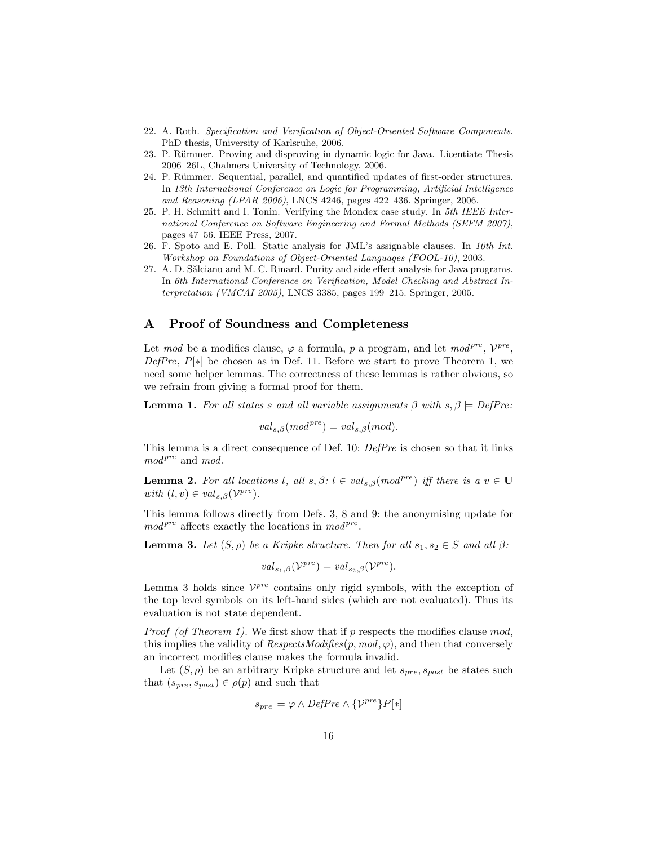- 22. A. Roth. Specification and Verification of Object-Oriented Software Components. PhD thesis, University of Karlsruhe, 2006.
- 23. P. Rümmer. Proving and disproving in dynamic logic for Java. Licentiate Thesis 2006–26L, Chalmers University of Technology, 2006.
- 24. P. Rümmer. Sequential, parallel, and quantified updates of first-order structures. In 13th International Conference on Logic for Programming, Artificial Intelligence and Reasoning (LPAR 2006), LNCS 4246, pages 422–436. Springer, 2006.
- 25. P. H. Schmitt and I. Tonin. Verifying the Mondex case study. In 5th IEEE International Conference on Software Engineering and Formal Methods (SEFM 2007), pages 47–56. IEEE Press, 2007.
- 26. F. Spoto and E. Poll. Static analysis for JML's assignable clauses. In 10th Int. Workshop on Foundations of Object-Oriented Languages (FOOL-10), 2003.
- 27. A. D. Sălcianu and M. C. Rinard. Purity and side effect analysis for Java programs. In 6th International Conference on Verification, Model Checking and Abstract Interpretation (VMCAI 2005), LNCS 3385, pages 199–215. Springer, 2005.

# A Proof of Soundness and Completeness

Let mod be a modifies clause,  $\varphi$  a formula, p a program, and let  $mod^{pre}$ ,  $\mathcal{V}^{pre}$ ,  $DefPre, P[*]$  be chosen as in Def. 11. Before we start to prove Theorem 1, we need some helper lemmas. The correctness of these lemmas is rather obvious, so we refrain from giving a formal proof for them.

**Lemma 1.** For all states s and all variable assignments  $\beta$  with  $s, \beta \models DefPre$ :

$$
val_{s,\beta}(mod^{pre}) = val_{s,\beta}(mod).
$$

This lemma is a direct consequence of Def. 10: DefPre is chosen so that it links  $mod<sup>pre</sup>$  and  $mod.$ 

**Lemma 2.** For all locations l, all  $s, \beta: l \in val_{s,\beta}(mod^{pre})$  iff there is a  $v \in U$ with  $(l, v) \in val_{s, \beta}(\mathcal{V}^{pre}).$ 

This lemma follows directly from Defs. 3, 8 and 9: the anonymising update for  $mod^{pre}$  affects exactly the locations in  $mod^{pre}$ .

**Lemma 3.** Let  $(S, \rho)$  be a Kripke structure. Then for all  $s_1, s_2 \in S$  and all  $\beta$ :

$$
val_{s_1,\beta}(\mathcal{V}^{pre}) = val_{s_2,\beta}(\mathcal{V}^{pre}).
$$

Lemma 3 holds since  $V^{pre}$  contains only rigid symbols, with the exception of the top level symbols on its left-hand sides (which are not evaluated). Thus its evaluation is not state dependent.

*Proof (of Theorem 1).* We first show that if  $p$  respects the modifies clause  $mod$ , this implies the validity of  $RespectsModifies(p, mod, \varphi)$ , and then that conversely an incorrect modifies clause makes the formula invalid.

Let  $(S, \rho)$  be an arbitrary Kripke structure and let  $s_{pre}$ ,  $s_{post}$  be states such that  $(s_{pre}, s_{post}) \in \rho(p)$  and such that

$$
s_{pre} \models \varphi \land DefPre \land \{ \mathcal{V}^{pre} \} P[*]
$$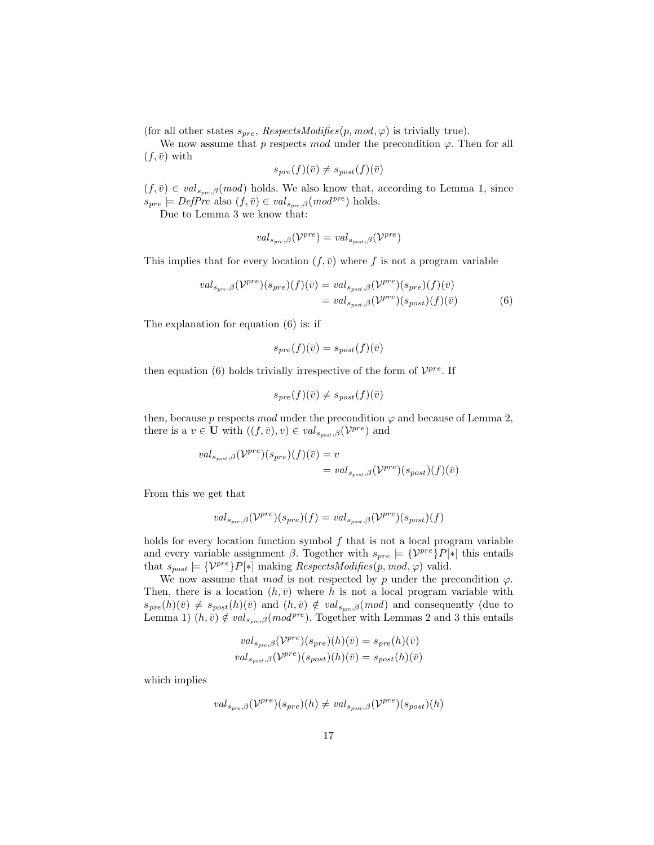(for all other states  $s_{pre}$ , RespectsModifies(p, mod,  $\varphi$ ) is trivially true).

We now assume that p respects mod under the precondition  $\varphi$ . Then for all  $(f, \bar{v})$  with

$$
s_{pre}(f)(\bar{v}) \neq s_{post}(f)(\bar{v})
$$

 $(f, \bar{v}) \in val_{s_{pre},\beta}(mod)$  holds. We also know that, according to Lemma 1, since  $s_{pre} \models DefPre$  also  $(f, \bar{v}) \in val_{s_{pre},\beta}(mod^{pre})$  holds.

Due to Lemma 3 we know that:

$$
val_{s_{pre},\beta}(\mathcal{V}^{pre}) = val_{s_{post},\beta}(\mathcal{V}^{pre})
$$

This implies that for every location  $(f, \bar{v})$  where f is not a program variable

$$
val_{s_{pre},\beta}(\mathcal{V}^{pre})(s_{pre})(f)(\bar{v}) = val_{s_{post},\beta}(\mathcal{V}^{pre})(s_{pre})(f)(\bar{v})
$$
  
= 
$$
val_{s_{post},\beta}(\mathcal{V}^{pre})(s_{post})(f)(\bar{v})
$$
 (6)

The explanation for equation (6) is: if

$$
s_{pre}(f)(\bar{v}) = s_{post}(f)(\bar{v})
$$

then equation (6) holds trivially irrespective of the form of  $\mathcal{V}^{pre}$ . If

$$
s_{pre}(f)(\bar{v}) \neq s_{post}(f)(\bar{v})
$$

then, because p respects mod under the precondition  $\varphi$  and because of Lemma 2, there is a  $v \in U$  with  $((f, \bar{v}), v) \in val_{s_{post}, \beta}(\mathcal{V}^{pre})$  and

$$
val_{s_{post},\beta}(\mathcal{V}^{pre})(s_{pre})(f)(\bar{v}) = v
$$
  
= val\_{s\_{post},\beta}(\mathcal{V}^{pre})(s\_{post})(f)(\bar{v})

From this we get that

$$
\mathit{val}_{\mathit{spre},\beta}(\mathcal{V}^{\mathit{pre}})(\mathit{spre})(f) = \mathit{val}_{\mathit{spost},\beta}(\mathcal{V}^{\mathit{pre}})(\mathit{spost})(f)
$$

holds for every location function symbol  $f$  that is not a local program variable and every variable assignment  $\beta$ . Together with  $s_{pre} \models {\{\mathcal{V}^{pre}\}} P[*]$  this entails that  $s_{post} \models {\{\mathcal{V}^{pre}\}} P[*]$  making  $\mathit{RespectsModifies}(p, \mathit{mod}, \varphi)$  valid.

We now assume that mod is not respected by p under the precondition  $\varphi$ . Then, there is a location  $(h, \bar{v})$  where h is not a local program variable with  $s_{pre}(h)(\bar{v}) \neq s_{post}(h)(\bar{v})$  and  $(h, \bar{v}) \notin val_{s_{pre},\beta}(mod)$  and consequently (due to Lemma 1)  $(h, \overline{v}) \notin val_{s_{pre},\beta}(mod^{pre})$ . Together with Lemmas 2 and 3 this entails

$$
val_{s_{pre},\beta}(\mathcal{V}^{pre})(s_{pre})(h)(\bar{v}) = s_{pre}(h)(\bar{v})
$$
  

$$
val_{s_{post},\beta}(\mathcal{V}^{pre})(s_{post})(h)(\bar{v}) = s_{post}(h)(\bar{v})
$$

which implies

$$
val_{s_{pre},\beta}(\mathcal{V}^{pre})(s_{pre})(h) \neq val_{s_{post},\beta}(\mathcal{V}^{pre})(s_{post})(h)
$$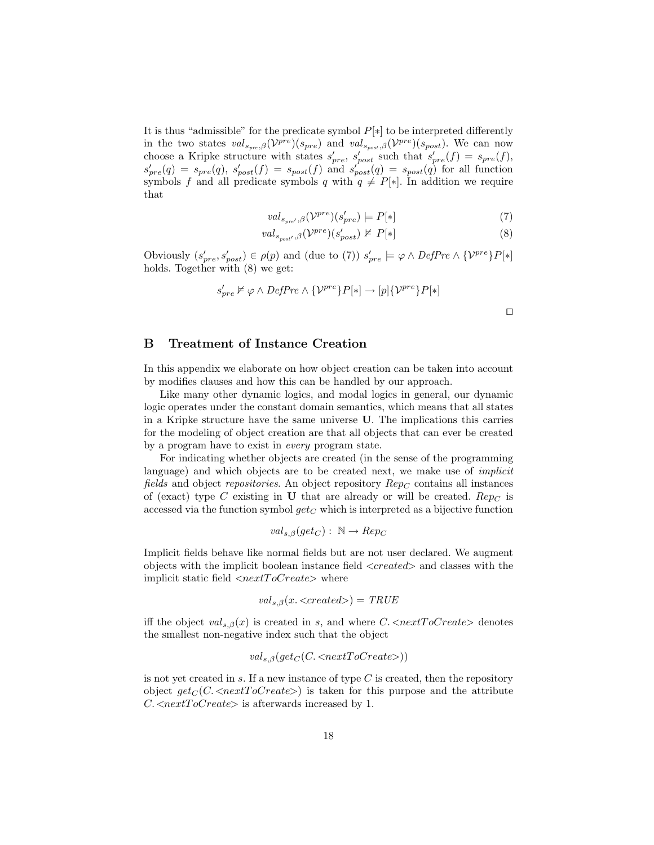It is thus "admissible" for the predicate symbol  $P[*]$  to be interpreted differently in the two states  $val_{s_{pre},\beta}(\mathcal{V}^{pre})(s_{pre})$  and  $val_{s_{post},\beta}(\mathcal{V}^{pre})(s_{post})$ . We can now choose a Kripke structure with states  $s'_{pre}$ ,  $s'_{post}$  such that  $s'_{pre}(f) = s_{pre}(f)$ ,  $s'_{pre}(q) = s_{pre}(q), s'_{post}(f) = s_{post}(f)$  and  $s'_{post}(q) = s_{post}(q)$  for all function symbols f and all predicate symbols q with  $q \neq P[*]$ . In addition we require that

$$
val_{s_{pre'},\beta}(\mathcal{V}^{pre})(s'_{pre}) \models P[*]
$$
 (7)

$$
val_{s_{post'},\beta}(\mathcal{V}^{pre})(s'_{post}) \not\models P[*]
$$
 (8)

Obviously  $(s'_{pre}, s'_{post}) \in \rho(p)$  and (due to (7))  $s'_{pre} \models \varphi \land DefPre \land \{V^{pre}\}P[*]$ holds. Together with  $(8)$  we get:

$$
s'_{pre} \nvDash \varphi \land DefPre \land \{\mathcal{V}^{pre}\} P[*] \rightarrow [p] \{\mathcal{V}^{pre}\} P[*]
$$

#### B Treatment of Instance Creation

In this appendix we elaborate on how object creation can be taken into account by modifies clauses and how this can be handled by our approach.

Like many other dynamic logics, and modal logics in general, our dynamic logic operates under the constant domain semantics, which means that all states in a Kripke structure have the same universe U. The implications this carries for the modeling of object creation are that all objects that can ever be created by a program have to exist in every program state.

For indicating whether objects are created (in the sense of the programming language) and which objects are to be created next, we make use of *implicit* fields and object repositories. An object repository  $Rep_C$  contains all instances of (exact) type C existing in U that are already or will be created.  $Rep_C$  is accessed via the function symbol  $get_C$  which is interpreted as a bijective function

$$
val_{s,\beta}(get_C): \mathbb{N} \to Rep_C
$$

Implicit fields behave like normal fields but are not user declared. We augment objects with the implicit boolean instance field  $\leq created$  and classes with the implicit static field  $\langle nextToCreate \rangle$  where

$$
val_{s,\beta}(x.<\neg created>) = \text{TRUE}
$$

iff the object  $val_{s,\beta}(x)$  is created in s, and where C.  $\langle nextToCreate \rangle$  denotes the smallest non-negative index such that the object

$$
val_{s,\beta}(get_C(C.) )
$$

is not yet created in s. If a new instance of type  $C$  is created, then the repository object  $get_C(C \leq nextToCreate)$  is taken for this purpose and the attribute  $C$ .  $\langle nextToCreate \rangle$  is afterwards increased by 1.